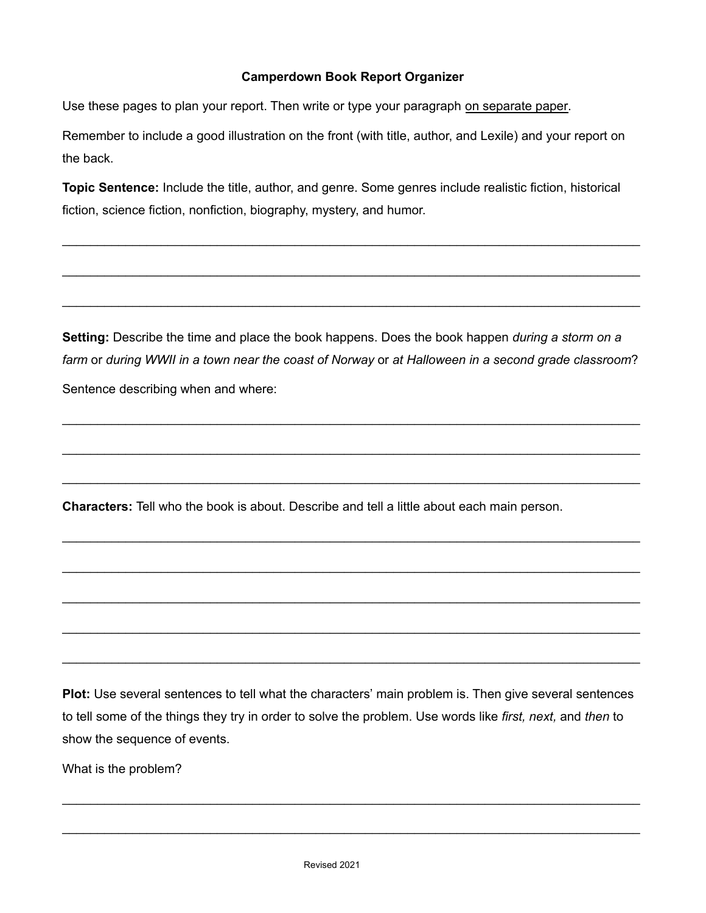## **Camperdown Book Report Organizer**

Use these pages to plan your report. Then write or type your paragraph on separate paper.

Remember to include a good illustration on the front (with title, author, and Lexile) and your report on the back.

**Topic Sentence:** Include the title, author, and genre. Some genres include realistic fiction, historical fiction, science fiction, nonfiction, biography, mystery, and humor.

\_\_\_\_\_\_\_\_\_\_\_\_\_\_\_\_\_\_\_\_\_\_\_\_\_\_\_\_\_\_\_\_\_\_\_\_\_\_\_\_\_\_\_\_\_\_\_\_\_\_\_\_\_\_\_\_\_\_\_\_\_\_\_\_\_\_\_\_\_\_\_\_\_\_\_\_\_\_\_\_\_\_

\_\_\_\_\_\_\_\_\_\_\_\_\_\_\_\_\_\_\_\_\_\_\_\_\_\_\_\_\_\_\_\_\_\_\_\_\_\_\_\_\_\_\_\_\_\_\_\_\_\_\_\_\_\_\_\_\_\_\_\_\_\_\_\_\_\_\_\_\_\_\_\_\_\_\_\_\_\_\_\_\_\_

\_\_\_\_\_\_\_\_\_\_\_\_\_\_\_\_\_\_\_\_\_\_\_\_\_\_\_\_\_\_\_\_\_\_\_\_\_\_\_\_\_\_\_\_\_\_\_\_\_\_\_\_\_\_\_\_\_\_\_\_\_\_\_\_\_\_\_\_\_\_\_\_\_\_\_\_\_\_\_\_\_\_

**Setting:** Describe the time and place the book happens. Does the book happen *during a storm on a* farm or during WWII in a town near the coast of Norway or at Halloween in a second grade classroom? Sentence describing when and where:

\_\_\_\_\_\_\_\_\_\_\_\_\_\_\_\_\_\_\_\_\_\_\_\_\_\_\_\_\_\_\_\_\_\_\_\_\_\_\_\_\_\_\_\_\_\_\_\_\_\_\_\_\_\_\_\_\_\_\_\_\_\_\_\_\_\_\_\_\_\_\_\_\_\_\_\_\_\_\_\_\_\_

\_\_\_\_\_\_\_\_\_\_\_\_\_\_\_\_\_\_\_\_\_\_\_\_\_\_\_\_\_\_\_\_\_\_\_\_\_\_\_\_\_\_\_\_\_\_\_\_\_\_\_\_\_\_\_\_\_\_\_\_\_\_\_\_\_\_\_\_\_\_\_\_\_\_\_\_\_\_\_\_\_\_

\_\_\_\_\_\_\_\_\_\_\_\_\_\_\_\_\_\_\_\_\_\_\_\_\_\_\_\_\_\_\_\_\_\_\_\_\_\_\_\_\_\_\_\_\_\_\_\_\_\_\_\_\_\_\_\_\_\_\_\_\_\_\_\_\_\_\_\_\_\_\_\_\_\_\_\_\_\_\_\_\_\_

\_\_\_\_\_\_\_\_\_\_\_\_\_\_\_\_\_\_\_\_\_\_\_\_\_\_\_\_\_\_\_\_\_\_\_\_\_\_\_\_\_\_\_\_\_\_\_\_\_\_\_\_\_\_\_\_\_\_\_\_\_\_\_\_\_\_\_\_\_\_\_\_\_\_\_\_\_\_\_\_\_\_

\_\_\_\_\_\_\_\_\_\_\_\_\_\_\_\_\_\_\_\_\_\_\_\_\_\_\_\_\_\_\_\_\_\_\_\_\_\_\_\_\_\_\_\_\_\_\_\_\_\_\_\_\_\_\_\_\_\_\_\_\_\_\_\_\_\_\_\_\_\_\_\_\_\_\_\_\_\_\_\_\_\_

\_\_\_\_\_\_\_\_\_\_\_\_\_\_\_\_\_\_\_\_\_\_\_\_\_\_\_\_\_\_\_\_\_\_\_\_\_\_\_\_\_\_\_\_\_\_\_\_\_\_\_\_\_\_\_\_\_\_\_\_\_\_\_\_\_\_\_\_\_\_\_\_\_\_\_\_\_\_\_\_\_\_

\_\_\_\_\_\_\_\_\_\_\_\_\_\_\_\_\_\_\_\_\_\_\_\_\_\_\_\_\_\_\_\_\_\_\_\_\_\_\_\_\_\_\_\_\_\_\_\_\_\_\_\_\_\_\_\_\_\_\_\_\_\_\_\_\_\_\_\_\_\_\_\_\_\_\_\_\_\_\_\_\_\_

\_\_\_\_\_\_\_\_\_\_\_\_\_\_\_\_\_\_\_\_\_\_\_\_\_\_\_\_\_\_\_\_\_\_\_\_\_\_\_\_\_\_\_\_\_\_\_\_\_\_\_\_\_\_\_\_\_\_\_\_\_\_\_\_\_\_\_\_\_\_\_\_\_\_\_\_\_\_\_\_\_\_

**Characters:** Tell who the book is about. Describe and tell a little about each main person.

**Plot:** Use several sentences to tell what the characters' main problem is. Then give several sentences to tell some of the things they try in order to solve the problem. Use words like *first, next,* and *then* to show the sequence of events.

\_\_\_\_\_\_\_\_\_\_\_\_\_\_\_\_\_\_\_\_\_\_\_\_\_\_\_\_\_\_\_\_\_\_\_\_\_\_\_\_\_\_\_\_\_\_\_\_\_\_\_\_\_\_\_\_\_\_\_\_\_\_\_\_\_\_\_\_\_\_\_\_\_\_\_\_\_\_\_\_\_\_

\_\_\_\_\_\_\_\_\_\_\_\_\_\_\_\_\_\_\_\_\_\_\_\_\_\_\_\_\_\_\_\_\_\_\_\_\_\_\_\_\_\_\_\_\_\_\_\_\_\_\_\_\_\_\_\_\_\_\_\_\_\_\_\_\_\_\_\_\_\_\_\_\_\_\_\_\_\_\_\_\_\_

What is the problem?